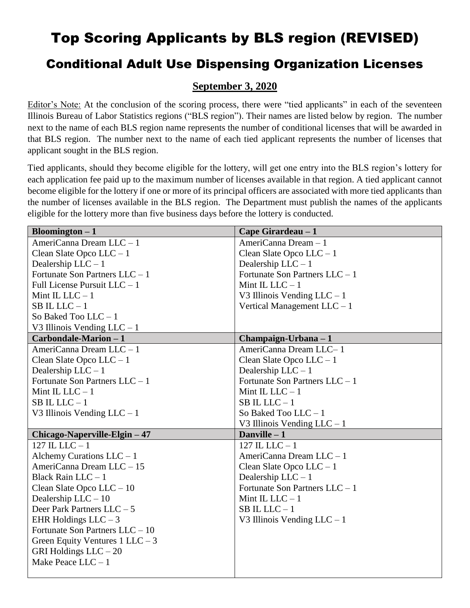## Top Scoring Applicants by BLS region (REVISED)

## Conditional Adult Use Dispensing Organization Licenses

## **September 3, 2020**

Editor's Note: At the conclusion of the scoring process, there were "tied applicants" in each of the seventeen Illinois Bureau of Labor Statistics regions ("BLS region"). Their names are listed below by region. The number next to the name of each BLS region name represents the number of conditional licenses that will be awarded in that BLS region. The number next to the name of each tied applicant represents the number of licenses that applicant sought in the BLS region.

Tied applicants, should they become eligible for the lottery, will get one entry into the BLS region's lottery for each application fee paid up to the maximum number of licenses available in that region. A tied applicant cannot become eligible for the lottery if one or more of its principal officers are associated with more tied applicants than the number of licenses available in the BLS region. The Department must publish the names of the applicants eligible for the lottery more than five business days before the lottery is conducted.

| Bloomington $-1$                   | Cape Girardeau - 1               |
|------------------------------------|----------------------------------|
| AmeriCanna Dream LLC - 1           | AmeriCanna Dream - 1             |
| Clean Slate Opco $LLC - 1$         | Clean Slate Opco $LLC - 1$       |
| Dealership $LLC - 1$               | Dealership $LLC - 1$             |
| Fortunate Son Partners $LLC - 1$   | Fortunate Son Partners $LLC - 1$ |
| Full License Pursuit LLC - 1       | Mint IL LLC $-1$                 |
| Mint IL LLC $-1$                   | V3 Illinois Vending $LLC - 1$    |
| $SB$ IL LLC $-1$                   | Vertical Management $LLC - 1$    |
| So Baked Too $LLC - 1$             |                                  |
| V3 Illinois Vending $LLC - 1$      |                                  |
| Carbondale-Marion - 1              | Champaign-Urbana - 1             |
| AmeriCanna Dream LLC - 1           | AmeriCanna Dream LLC-1           |
| Clean Slate Opco $LLC - 1$         | Clean Slate Opco $LLC - 1$       |
| Dealership $LLC - 1$               | Dealership $LLC - 1$             |
| Fortunate Son Partners LLC - 1     | Fortunate Son Partners LLC - 1   |
| Mint IL LLC $-1$                   | Mint IL LLC $-1$                 |
| $SB$ IL LLC $-1$                   | $SB$ IL LLC $-1$                 |
| V3 Illinois Vending $LLC - 1$      | So Baked Too LLC-1               |
|                                    | V3 Illinois Vending $LLC - 1$    |
| Chicago-Naperville-Elgin - 47      | Danville $-1$                    |
| 127 IL LLC $-1$                    | 127 IL LLC $-1$                  |
| Alchemy Curations $LLC - 1$        | AmeriCanna Dream LLC - 1         |
| AmeriCanna Dream LLC - 15          | Clean Slate Opco $LLC - 1$       |
| Black Rain LLC - 1                 | Dealership $LLC - 1$             |
| Clean Slate Opco $LLC - 10$        | Fortunate Son Partners $LLC - 1$ |
| Dealership LLC - 10                | Mint IL LLC $-1$                 |
| Deer Park Partners LLC - 5         | $SB$ IL LLC $-1$                 |
| EHR Holdings $LLC - 3$             | V3 Illinois Vending $LLC - 1$    |
| Fortunate Son Partners LLC - 10    |                                  |
| Green Equity Ventures $1$ LLC $-3$ |                                  |
| GRI Holdings $LLC - 20$            |                                  |
| Make Peace $LLC - 1$               |                                  |
|                                    |                                  |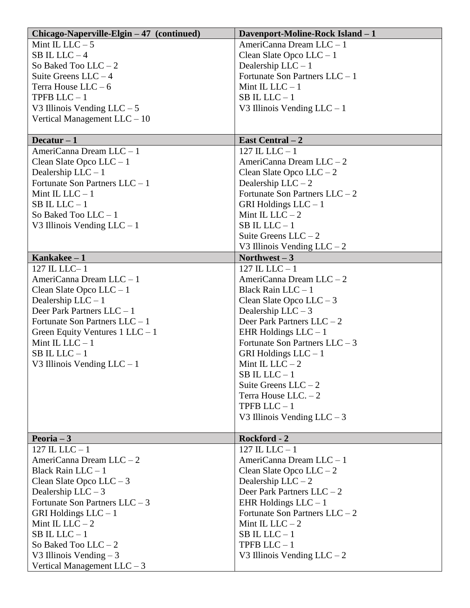| Mint IL LLC $-5$<br>AmeriCanna Dream LLC - 1<br>SB IL LLC $-4$<br>Clean Slate Opco $LLC - 1$<br>So Baked Too $LLC - 2$<br>Dealership $LLC - 1$<br>Fortunate Son Partners $LLC - 1$<br>Suite Greens $LLC - 4$<br>Mint IL LLC $-1$<br>Terra House $LLC - 6$<br>TPFB $LLC - 1$<br>$SB$ IL LLC $-1$<br>V3 Illinois Vending $LLC - 5$<br>V3 Illinois Vending $LLC - 1$<br>Vertical Management $LLC - 10$<br>Decatur $-1$<br>East Central – 2<br>AmeriCanna Dream LLC - 1<br>$127$ IL LLC $-1$<br>AmeriCanna Dream LLC - 2<br>Clean Slate Opco $LLC - 1$<br>Dealership $LLC - 1$<br>Clean Slate Opco $LLC - 2$<br>Fortunate Son Partners $LLC - 1$<br>Dealership $LLC - 2$<br>Mint IL LLC $-1$<br>Fortunate Son Partners $LLC - 2$<br>$SB$ IL LLC $-1$<br>GRI Holdings $LLC - 1$<br>Mint IL LLC $-2$<br>So Baked Too $LLC - 1$<br>$SB$ IL LLC $-1$<br>V3 Illinois Vending $LLC - 1$<br>Suite Greens $LLC - 2$<br>V3 Illinois Vending $LLC - 2$<br>Kankakee $-1$<br>Northwest $-3$<br>$127$ IL LLC $-1$<br>127 IL LLC-1<br>AmeriCanna Dream LLC - 1<br>AmeriCanna Dream LLC - 2<br>Black Rain $LLC - 1$<br>Clean Slate Opco $LLC - 1$<br>Dealership $LLC - 1$<br>Clean Slate Opco $LLC - 3$<br>Deer Park Partners $LLC - 1$<br>Dealership $LLC - 3$<br>Fortunate Son Partners $LLC - 1$<br>Deer Park Partners $LLC - 2$ | Chicago-Naperville-Elgin – 47 (continued) | Davenport-Moline-Rock Island - 1 |
|------------------------------------------------------------------------------------------------------------------------------------------------------------------------------------------------------------------------------------------------------------------------------------------------------------------------------------------------------------------------------------------------------------------------------------------------------------------------------------------------------------------------------------------------------------------------------------------------------------------------------------------------------------------------------------------------------------------------------------------------------------------------------------------------------------------------------------------------------------------------------------------------------------------------------------------------------------------------------------------------------------------------------------------------------------------------------------------------------------------------------------------------------------------------------------------------------------------------------------------------------------------------------------------------------------------|-------------------------------------------|----------------------------------|
|                                                                                                                                                                                                                                                                                                                                                                                                                                                                                                                                                                                                                                                                                                                                                                                                                                                                                                                                                                                                                                                                                                                                                                                                                                                                                                                  |                                           |                                  |
|                                                                                                                                                                                                                                                                                                                                                                                                                                                                                                                                                                                                                                                                                                                                                                                                                                                                                                                                                                                                                                                                                                                                                                                                                                                                                                                  |                                           |                                  |
|                                                                                                                                                                                                                                                                                                                                                                                                                                                                                                                                                                                                                                                                                                                                                                                                                                                                                                                                                                                                                                                                                                                                                                                                                                                                                                                  |                                           |                                  |
|                                                                                                                                                                                                                                                                                                                                                                                                                                                                                                                                                                                                                                                                                                                                                                                                                                                                                                                                                                                                                                                                                                                                                                                                                                                                                                                  |                                           |                                  |
|                                                                                                                                                                                                                                                                                                                                                                                                                                                                                                                                                                                                                                                                                                                                                                                                                                                                                                                                                                                                                                                                                                                                                                                                                                                                                                                  |                                           |                                  |
|                                                                                                                                                                                                                                                                                                                                                                                                                                                                                                                                                                                                                                                                                                                                                                                                                                                                                                                                                                                                                                                                                                                                                                                                                                                                                                                  |                                           |                                  |
|                                                                                                                                                                                                                                                                                                                                                                                                                                                                                                                                                                                                                                                                                                                                                                                                                                                                                                                                                                                                                                                                                                                                                                                                                                                                                                                  |                                           |                                  |
|                                                                                                                                                                                                                                                                                                                                                                                                                                                                                                                                                                                                                                                                                                                                                                                                                                                                                                                                                                                                                                                                                                                                                                                                                                                                                                                  |                                           |                                  |
|                                                                                                                                                                                                                                                                                                                                                                                                                                                                                                                                                                                                                                                                                                                                                                                                                                                                                                                                                                                                                                                                                                                                                                                                                                                                                                                  |                                           |                                  |
|                                                                                                                                                                                                                                                                                                                                                                                                                                                                                                                                                                                                                                                                                                                                                                                                                                                                                                                                                                                                                                                                                                                                                                                                                                                                                                                  |                                           |                                  |
|                                                                                                                                                                                                                                                                                                                                                                                                                                                                                                                                                                                                                                                                                                                                                                                                                                                                                                                                                                                                                                                                                                                                                                                                                                                                                                                  |                                           |                                  |
|                                                                                                                                                                                                                                                                                                                                                                                                                                                                                                                                                                                                                                                                                                                                                                                                                                                                                                                                                                                                                                                                                                                                                                                                                                                                                                                  |                                           |                                  |
|                                                                                                                                                                                                                                                                                                                                                                                                                                                                                                                                                                                                                                                                                                                                                                                                                                                                                                                                                                                                                                                                                                                                                                                                                                                                                                                  |                                           |                                  |
|                                                                                                                                                                                                                                                                                                                                                                                                                                                                                                                                                                                                                                                                                                                                                                                                                                                                                                                                                                                                                                                                                                                                                                                                                                                                                                                  |                                           |                                  |
|                                                                                                                                                                                                                                                                                                                                                                                                                                                                                                                                                                                                                                                                                                                                                                                                                                                                                                                                                                                                                                                                                                                                                                                                                                                                                                                  |                                           |                                  |
|                                                                                                                                                                                                                                                                                                                                                                                                                                                                                                                                                                                                                                                                                                                                                                                                                                                                                                                                                                                                                                                                                                                                                                                                                                                                                                                  |                                           |                                  |
|                                                                                                                                                                                                                                                                                                                                                                                                                                                                                                                                                                                                                                                                                                                                                                                                                                                                                                                                                                                                                                                                                                                                                                                                                                                                                                                  |                                           |                                  |
|                                                                                                                                                                                                                                                                                                                                                                                                                                                                                                                                                                                                                                                                                                                                                                                                                                                                                                                                                                                                                                                                                                                                                                                                                                                                                                                  |                                           |                                  |
|                                                                                                                                                                                                                                                                                                                                                                                                                                                                                                                                                                                                                                                                                                                                                                                                                                                                                                                                                                                                                                                                                                                                                                                                                                                                                                                  |                                           |                                  |
|                                                                                                                                                                                                                                                                                                                                                                                                                                                                                                                                                                                                                                                                                                                                                                                                                                                                                                                                                                                                                                                                                                                                                                                                                                                                                                                  |                                           |                                  |
|                                                                                                                                                                                                                                                                                                                                                                                                                                                                                                                                                                                                                                                                                                                                                                                                                                                                                                                                                                                                                                                                                                                                                                                                                                                                                                                  |                                           |                                  |
|                                                                                                                                                                                                                                                                                                                                                                                                                                                                                                                                                                                                                                                                                                                                                                                                                                                                                                                                                                                                                                                                                                                                                                                                                                                                                                                  |                                           |                                  |
|                                                                                                                                                                                                                                                                                                                                                                                                                                                                                                                                                                                                                                                                                                                                                                                                                                                                                                                                                                                                                                                                                                                                                                                                                                                                                                                  |                                           |                                  |
|                                                                                                                                                                                                                                                                                                                                                                                                                                                                                                                                                                                                                                                                                                                                                                                                                                                                                                                                                                                                                                                                                                                                                                                                                                                                                                                  |                                           |                                  |
|                                                                                                                                                                                                                                                                                                                                                                                                                                                                                                                                                                                                                                                                                                                                                                                                                                                                                                                                                                                                                                                                                                                                                                                                                                                                                                                  |                                           |                                  |
|                                                                                                                                                                                                                                                                                                                                                                                                                                                                                                                                                                                                                                                                                                                                                                                                                                                                                                                                                                                                                                                                                                                                                                                                                                                                                                                  |                                           |                                  |
|                                                                                                                                                                                                                                                                                                                                                                                                                                                                                                                                                                                                                                                                                                                                                                                                                                                                                                                                                                                                                                                                                                                                                                                                                                                                                                                  |                                           |                                  |
| Green Equity Ventures $1$ LLC $-1$<br>EHR Holdings $LLC - 1$                                                                                                                                                                                                                                                                                                                                                                                                                                                                                                                                                                                                                                                                                                                                                                                                                                                                                                                                                                                                                                                                                                                                                                                                                                                     |                                           |                                  |
| Mint IL LLC $-1$<br>Fortunate Son Partners $LLC - 3$                                                                                                                                                                                                                                                                                                                                                                                                                                                                                                                                                                                                                                                                                                                                                                                                                                                                                                                                                                                                                                                                                                                                                                                                                                                             |                                           |                                  |
| $SB$ IL LLC $-1$<br>GRI Holdings $LLC - 1$                                                                                                                                                                                                                                                                                                                                                                                                                                                                                                                                                                                                                                                                                                                                                                                                                                                                                                                                                                                                                                                                                                                                                                                                                                                                       |                                           |                                  |
| Mint IL LLC $-2$<br>V3 Illinois Vending $LLC - 1$                                                                                                                                                                                                                                                                                                                                                                                                                                                                                                                                                                                                                                                                                                                                                                                                                                                                                                                                                                                                                                                                                                                                                                                                                                                                |                                           |                                  |
| $SB$ IL LLC $-1$                                                                                                                                                                                                                                                                                                                                                                                                                                                                                                                                                                                                                                                                                                                                                                                                                                                                                                                                                                                                                                                                                                                                                                                                                                                                                                 |                                           |                                  |
| Suite Greens $LLC - 2$                                                                                                                                                                                                                                                                                                                                                                                                                                                                                                                                                                                                                                                                                                                                                                                                                                                                                                                                                                                                                                                                                                                                                                                                                                                                                           |                                           |                                  |
| Terra House LLC. $-2$                                                                                                                                                                                                                                                                                                                                                                                                                                                                                                                                                                                                                                                                                                                                                                                                                                                                                                                                                                                                                                                                                                                                                                                                                                                                                            |                                           |                                  |
|                                                                                                                                                                                                                                                                                                                                                                                                                                                                                                                                                                                                                                                                                                                                                                                                                                                                                                                                                                                                                                                                                                                                                                                                                                                                                                                  |                                           |                                  |
| TPFB $LLC - 1$                                                                                                                                                                                                                                                                                                                                                                                                                                                                                                                                                                                                                                                                                                                                                                                                                                                                                                                                                                                                                                                                                                                                                                                                                                                                                                   |                                           |                                  |
| V3 Illinois Vending $LLC - 3$                                                                                                                                                                                                                                                                                                                                                                                                                                                                                                                                                                                                                                                                                                                                                                                                                                                                                                                                                                                                                                                                                                                                                                                                                                                                                    |                                           |                                  |
| Peoria $-3$<br>Rockford - 2                                                                                                                                                                                                                                                                                                                                                                                                                                                                                                                                                                                                                                                                                                                                                                                                                                                                                                                                                                                                                                                                                                                                                                                                                                                                                      |                                           |                                  |
| $127$ IL LLC $-1$<br>127 IL LLC $-1$                                                                                                                                                                                                                                                                                                                                                                                                                                                                                                                                                                                                                                                                                                                                                                                                                                                                                                                                                                                                                                                                                                                                                                                                                                                                             |                                           |                                  |
| AmeriCanna Dream LLC - 2<br>AmeriCanna Dream LLC - 1                                                                                                                                                                                                                                                                                                                                                                                                                                                                                                                                                                                                                                                                                                                                                                                                                                                                                                                                                                                                                                                                                                                                                                                                                                                             |                                           |                                  |
| Black Rain $LLC - 1$<br>Clean Slate Opco $LLC - 2$                                                                                                                                                                                                                                                                                                                                                                                                                                                                                                                                                                                                                                                                                                                                                                                                                                                                                                                                                                                                                                                                                                                                                                                                                                                               |                                           |                                  |
| Clean Slate Opco $LLC - 3$<br>Dealership $LLC - 2$                                                                                                                                                                                                                                                                                                                                                                                                                                                                                                                                                                                                                                                                                                                                                                                                                                                                                                                                                                                                                                                                                                                                                                                                                                                               |                                           |                                  |
| Deer Park Partners $LLC - 2$<br>Dealership $LLC - 3$                                                                                                                                                                                                                                                                                                                                                                                                                                                                                                                                                                                                                                                                                                                                                                                                                                                                                                                                                                                                                                                                                                                                                                                                                                                             |                                           |                                  |
| Fortunate Son Partners $LLC - 3$<br>EHR Holdings $LLC - 1$                                                                                                                                                                                                                                                                                                                                                                                                                                                                                                                                                                                                                                                                                                                                                                                                                                                                                                                                                                                                                                                                                                                                                                                                                                                       |                                           |                                  |
| GRI Holdings $LLC - 1$<br>Fortunate Son Partners $LLC - 2$                                                                                                                                                                                                                                                                                                                                                                                                                                                                                                                                                                                                                                                                                                                                                                                                                                                                                                                                                                                                                                                                                                                                                                                                                                                       |                                           |                                  |
| Mint IL LLC $-2$<br>Mint IL LLC $-2$                                                                                                                                                                                                                                                                                                                                                                                                                                                                                                                                                                                                                                                                                                                                                                                                                                                                                                                                                                                                                                                                                                                                                                                                                                                                             |                                           |                                  |
| $SB$ IL LLC $-1$<br>$SB$ IL LLC $-1$                                                                                                                                                                                                                                                                                                                                                                                                                                                                                                                                                                                                                                                                                                                                                                                                                                                                                                                                                                                                                                                                                                                                                                                                                                                                             |                                           |                                  |
| TPFB $LLC - 1$<br>So Baked Too $LLC - 2$                                                                                                                                                                                                                                                                                                                                                                                                                                                                                                                                                                                                                                                                                                                                                                                                                                                                                                                                                                                                                                                                                                                                                                                                                                                                         |                                           |                                  |
| V3 Illinois Vending $-3$<br>V3 Illinois Vending $LLC - 2$                                                                                                                                                                                                                                                                                                                                                                                                                                                                                                                                                                                                                                                                                                                                                                                                                                                                                                                                                                                                                                                                                                                                                                                                                                                        |                                           |                                  |
| Vertical Management $LLC - 3$                                                                                                                                                                                                                                                                                                                                                                                                                                                                                                                                                                                                                                                                                                                                                                                                                                                                                                                                                                                                                                                                                                                                                                                                                                                                                    |                                           |                                  |